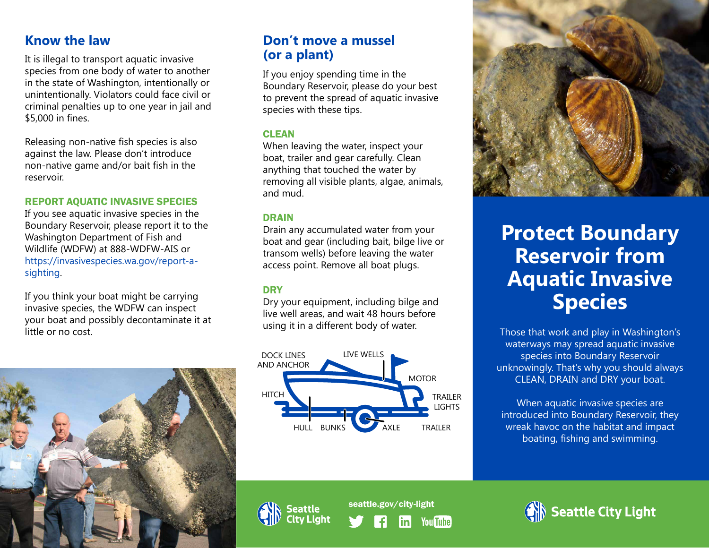It is illegal to transport aquatic invasive species from one body of water to another in the state of Washington, intentionally or unintentionally. Violators could face civil or criminal penalties up to one year in jail and \$5,000 in fines.

Releasing non-native fish species is also against the law. Please don't introduce non-native game and/or bait fish in the reservoir.

### REPORT AQUATIC INVASIVE SPECIES

If you see aquatic invasive species in the Boundary Reservoir, please report it to the Washington Department of Fish and Wildlife (WDFW) at 888-WDFW-AIS or https://invasivespecies.wa.gov/report-asighting.

If you think your boat might be carrying invasive species, the WDFW can inspect your boat and possibly decontaminate it at little or no cost.



### **Know the law Contract Contract Contract Contract Contract Contract Contract Contract Contract Contract Contract Contract Contract Contract Contract Contract Contract Contract Contract Contract Contract Contract Contract C (or a plant)**

If you enjoy spending time in the Boundary Reservoir, please do your best to prevent the spread of aquatic invasive species with these tips.

### **CLEAN**

When leaving the water, inspect your boat, trailer and gear carefully. Clean anything that touched the water by removing all visible plants, algae, animals, and mud.

### DRAIN

Drain any accumulated water from your boat and gear (including bait, bilge live or transom wells) before leaving the water access point. Remove all boat plugs.

### **DRY**

Dry your equipment, including bilge and live well areas, and wait 48 hours before using it in a different body of water.





# **Protect Boundary Reservoir from Aquatic Invasive Species**

Those that work and play in Washington's waterways may spread aquatic invasive species into Boundary Reservoir unknowingly. That's why you should always CLEAN, DRAIN and DRY your boat.

When aquatic invasive species are introduced into Boundary Reservoir, they wreak havoc on the habitat and impact boating, fishing and swimming.